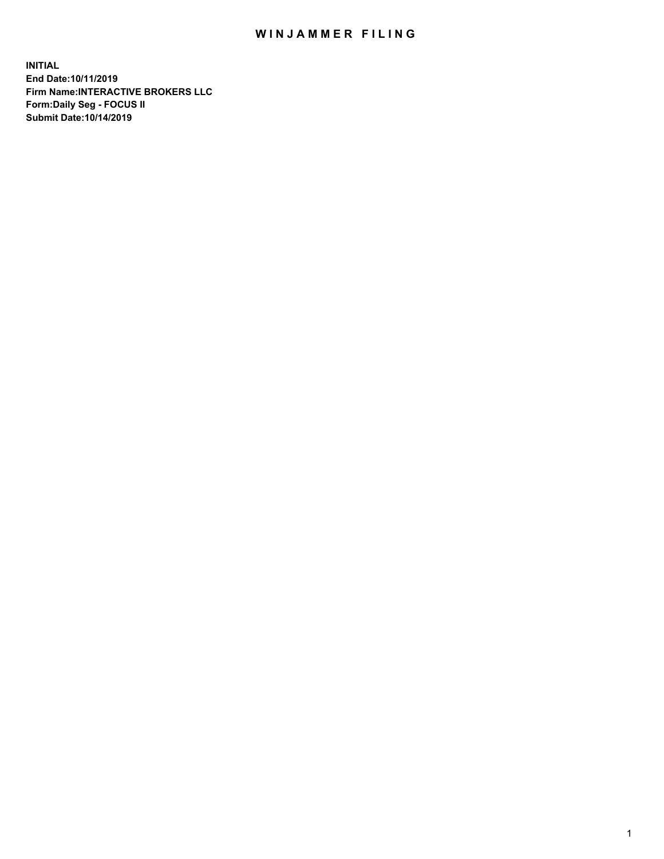## WIN JAMMER FILING

**INITIAL End Date:10/11/2019 Firm Name:INTERACTIVE BROKERS LLC Form:Daily Seg - FOCUS II Submit Date:10/14/2019**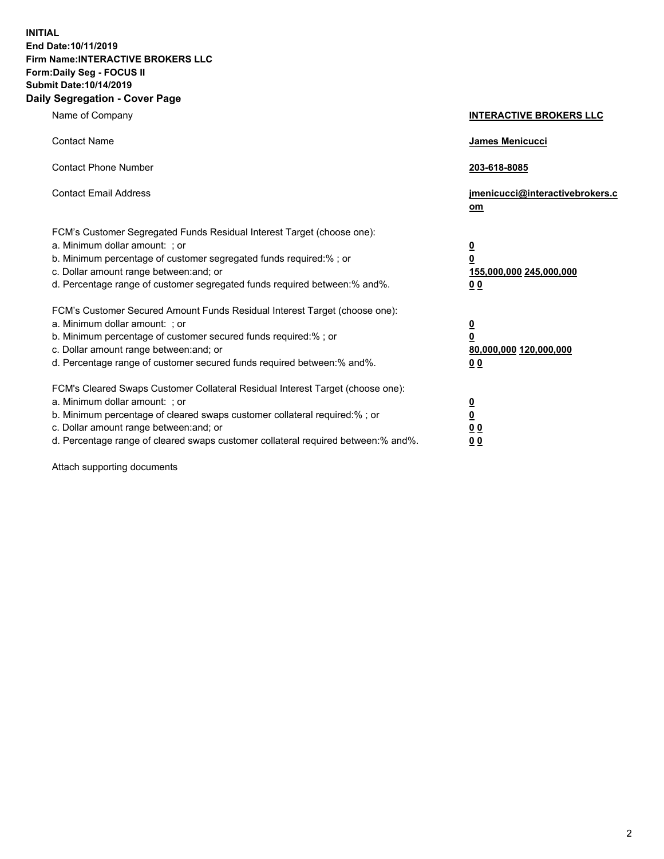**INITIAL End Date:10/11/2019 Firm Name:INTERACTIVE BROKERS LLC Form:Daily Seg - FOCUS II Submit Date:10/14/2019 Daily Segregation - Cover Page**

| Name of Company                                                                                                                                                                                                                                                                                                                | <b>INTERACTIVE BROKERS LLC</b>                                                                  |
|--------------------------------------------------------------------------------------------------------------------------------------------------------------------------------------------------------------------------------------------------------------------------------------------------------------------------------|-------------------------------------------------------------------------------------------------|
| <b>Contact Name</b>                                                                                                                                                                                                                                                                                                            | James Menicucci                                                                                 |
| <b>Contact Phone Number</b>                                                                                                                                                                                                                                                                                                    | 203-618-8085                                                                                    |
| <b>Contact Email Address</b>                                                                                                                                                                                                                                                                                                   | jmenicucci@interactivebrokers.c<br>om                                                           |
| FCM's Customer Segregated Funds Residual Interest Target (choose one):<br>a. Minimum dollar amount: ; or<br>b. Minimum percentage of customer segregated funds required:% ; or<br>c. Dollar amount range between: and; or<br>d. Percentage range of customer segregated funds required between:% and%.                         | $\overline{\mathbf{0}}$<br>$\overline{\mathbf{0}}$<br>155,000,000 245,000,000<br>0 <sub>0</sub> |
| FCM's Customer Secured Amount Funds Residual Interest Target (choose one):<br>a. Minimum dollar amount: ; or<br>b. Minimum percentage of customer secured funds required:%; or<br>c. Dollar amount range between: and; or<br>d. Percentage range of customer secured funds required between:% and%.                            | $\overline{\mathbf{0}}$<br>$\overline{\mathbf{0}}$<br>80,000,000 120,000,000<br>0 <sub>0</sub>  |
| FCM's Cleared Swaps Customer Collateral Residual Interest Target (choose one):<br>a. Minimum dollar amount: ; or<br>b. Minimum percentage of cleared swaps customer collateral required:% ; or<br>c. Dollar amount range between: and; or<br>d. Percentage range of cleared swaps customer collateral required between:% and%. | $\overline{\mathbf{0}}$<br>$\underline{\mathbf{0}}$<br>0 <sub>0</sub><br>0 <sub>0</sub>         |

Attach supporting documents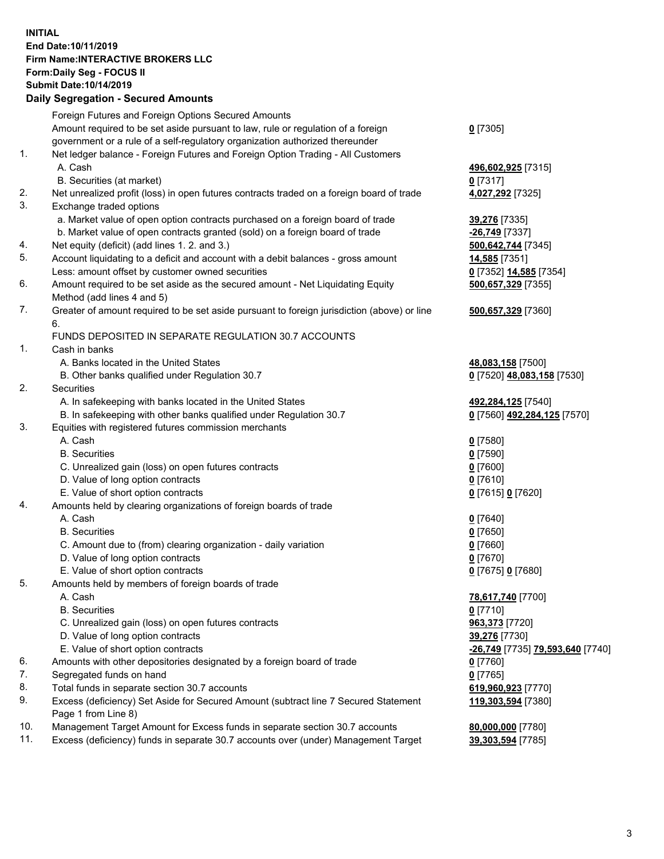## **INITIAL End Date:10/11/2019 Firm Name:INTERACTIVE BROKERS LLC Form:Daily Seg - FOCUS II Submit Date:10/14/2019 Daily Segregation - Secured Amounts**

|                | Daily Jegregation - Jeculed Aniounts                                                              |                                                      |
|----------------|---------------------------------------------------------------------------------------------------|------------------------------------------------------|
|                | Foreign Futures and Foreign Options Secured Amounts                                               |                                                      |
|                | Amount required to be set aside pursuant to law, rule or regulation of a foreign                  | $0$ [7305]                                           |
|                | government or a rule of a self-regulatory organization authorized thereunder                      |                                                      |
| 1.             | Net ledger balance - Foreign Futures and Foreign Option Trading - All Customers                   |                                                      |
|                | A. Cash                                                                                           | 496,602,925 [7315]                                   |
|                | B. Securities (at market)                                                                         | $0$ [7317]                                           |
| 2.             | Net unrealized profit (loss) in open futures contracts traded on a foreign board of trade         | 4,027,292 [7325]                                     |
| 3.             | Exchange traded options                                                                           |                                                      |
|                | a. Market value of open option contracts purchased on a foreign board of trade                    | 39,276 [7335]                                        |
|                | b. Market value of open contracts granted (sold) on a foreign board of trade                      | -26,749 [7337]                                       |
| 4.             | Net equity (deficit) (add lines 1. 2. and 3.)                                                     | 500,642,744 [7345]                                   |
| 5.             | Account liquidating to a deficit and account with a debit balances - gross amount                 | 14,585 [7351]                                        |
|                | Less: amount offset by customer owned securities                                                  | 0 [7352] 14,585 [7354]                               |
| 6.             | Amount required to be set aside as the secured amount - Net Liquidating Equity                    | 500,657,329 [7355]                                   |
|                | Method (add lines 4 and 5)                                                                        |                                                      |
| 7.             | Greater of amount required to be set aside pursuant to foreign jurisdiction (above) or line<br>6. | 500,657,329 [7360]                                   |
|                | FUNDS DEPOSITED IN SEPARATE REGULATION 30.7 ACCOUNTS                                              |                                                      |
| $\mathbf{1}$ . | Cash in banks                                                                                     |                                                      |
|                | A. Banks located in the United States                                                             | 48,083,158 [7500]                                    |
|                | B. Other banks qualified under Regulation 30.7                                                    | 0 [7520] 48,083,158 [7530]                           |
| 2.             | Securities                                                                                        |                                                      |
|                | A. In safekeeping with banks located in the United States                                         | 492,284,125 [7540]                                   |
|                | B. In safekeeping with other banks qualified under Regulation 30.7                                | 0 [7560] 492,284,125 [7570]                          |
| 3.             | Equities with registered futures commission merchants                                             |                                                      |
|                | A. Cash                                                                                           | $0$ [7580]                                           |
|                | <b>B.</b> Securities                                                                              | $0$ [7590]                                           |
|                | C. Unrealized gain (loss) on open futures contracts                                               | $0$ [7600]                                           |
|                | D. Value of long option contracts                                                                 | $0$ [7610]                                           |
|                | E. Value of short option contracts                                                                | 0 [7615] 0 [7620]                                    |
| 4.             | Amounts held by clearing organizations of foreign boards of trade                                 |                                                      |
|                | A. Cash                                                                                           | $0$ [7640]                                           |
|                | <b>B.</b> Securities                                                                              | $0$ [7650]                                           |
|                | C. Amount due to (from) clearing organization - daily variation                                   | $0$ [7660]                                           |
|                | D. Value of long option contracts                                                                 | $0$ [7670]                                           |
|                | E. Value of short option contracts                                                                | 0 [7675] 0 [7680]                                    |
| 5.             | Amounts held by members of foreign boards of trade                                                |                                                      |
|                | A. Cash                                                                                           | 78,617,740 [7700]                                    |
|                | <b>B.</b> Securities                                                                              | $0$ [7710]                                           |
|                | C. Unrealized gain (loss) on open futures contracts                                               | 963,373 [7720]                                       |
|                | D. Value of long option contracts                                                                 | 39,276 [7730]                                        |
|                | E. Value of short option contracts                                                                | <mark>-26,749</mark> [7735] <b>79,593,640</b> [7740] |
| 6.             | Amounts with other depositories designated by a foreign board of trade                            | 0 [7760]                                             |
| 7.             | Segregated funds on hand                                                                          | $0$ [7765]                                           |
| 8.             | Total funds in separate section 30.7 accounts                                                     | 619,960,923 [7770]                                   |
| 9.             | Excess (deficiency) Set Aside for Secured Amount (subtract line 7 Secured Statement               | 119,303,594 [7380]                                   |
|                | Page 1 from Line 8)                                                                               |                                                      |
| 10.            | Management Target Amount for Excess funds in separate section 30.7 accounts                       | 80,000,000 [7780]                                    |
| 11.            | Excess (deficiency) funds in separate 30.7 accounts over (under) Management Target                | 39,303,594 [7785]                                    |
|                |                                                                                                   |                                                      |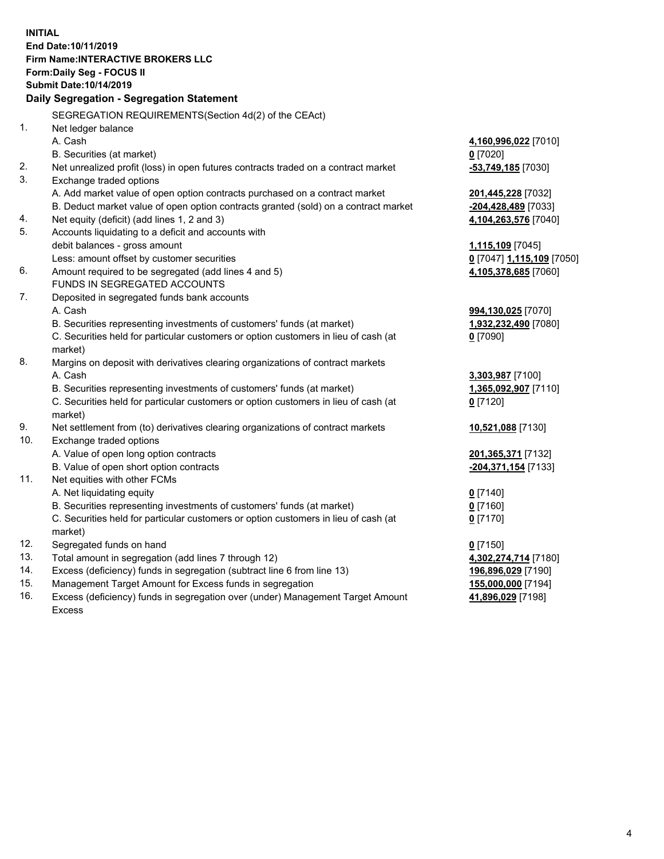**INITIAL End Date:10/11/2019 Firm Name:INTERACTIVE BROKERS LLC Form:Daily Seg - FOCUS II Submit Date:10/14/2019 Daily Segregation - Segregation Statement** SEGREGATION REQUIREMENTS(Section 4d(2) of the CEAct) 1. Net ledger balance A. Cash **4,160,996,022** [7010] B. Securities (at market) **0** [7020] 2. Net unrealized profit (loss) in open futures contracts traded on a contract market **-53,749,185** [7030] 3. Exchange traded options A. Add market value of open option contracts purchased on a contract market **201,445,228** [7032] B. Deduct market value of open option contracts granted (sold) on a contract market **-204,428,489** [7033] 4. Net equity (deficit) (add lines 1, 2 and 3) **4,104,263,576** [7040] 5. Accounts liquidating to a deficit and accounts with debit balances - gross amount **1,115,109** [7045] Less: amount offset by customer securities **0** [7047] **1,115,109** [7050] 6. Amount required to be segregated (add lines 4 and 5) **4,105,378,685** [7060] FUNDS IN SEGREGATED ACCOUNTS 7. Deposited in segregated funds bank accounts A. Cash **994,130,025** [7070] B. Securities representing investments of customers' funds (at market) **1,932,232,490** [7080] C. Securities held for particular customers or option customers in lieu of cash (at market) **0** [7090] 8. Margins on deposit with derivatives clearing organizations of contract markets A. Cash **3,303,987** [7100] B. Securities representing investments of customers' funds (at market) **1,365,092,907** [7110] C. Securities held for particular customers or option customers in lieu of cash (at market) **0** [7120] 9. Net settlement from (to) derivatives clearing organizations of contract markets **10,521,088** [7130] 10. Exchange traded options A. Value of open long option contracts **201,365,371** [7132] B. Value of open short option contracts **-204,371,154** [7133] 11. Net equities with other FCMs A. Net liquidating equity **0** [7140] B. Securities representing investments of customers' funds (at market) **0** [7160] C. Securities held for particular customers or option customers in lieu of cash (at market) **0** [7170] 12. Segregated funds on hand **0** [7150] 13. Total amount in segregation (add lines 7 through 12) **4,302,274,714** [7180] 14. Excess (deficiency) funds in segregation (subtract line 6 from line 13) **196,896,029** [7190] 15. Management Target Amount for Excess funds in segregation **155,000,000** [7194] 16. Excess (deficiency) funds in segregation over (under) Management Target Amount **41,896,029** [7198]

Excess